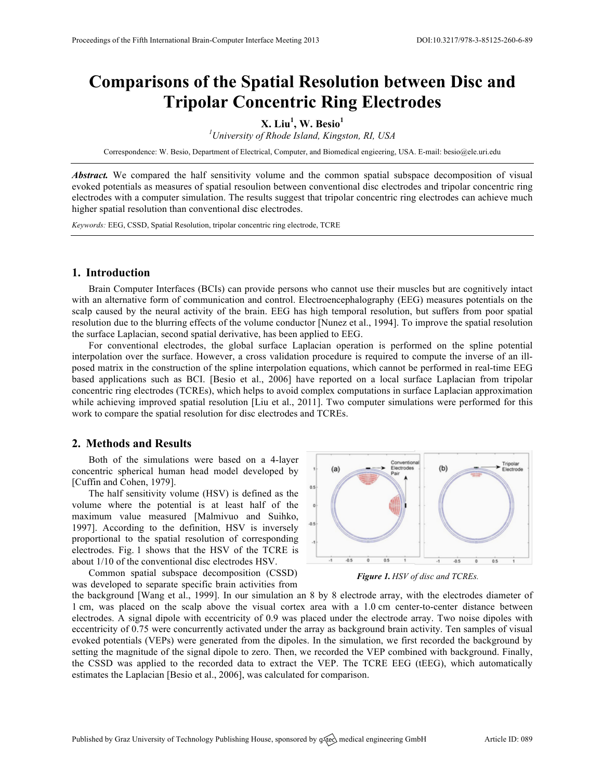# **Comparisons of the Spatial Resolution between Disc and Tripolar Concentric Ring Electrodes**

## **X. Liu<sup>1</sup> , W. Besio<sup>1</sup>**

*1 University of Rhode Island, Kingston, RI, USA*

Correspondence: W. Besio, Department of Electrical, Computer, and Biomedical engieering, USA. E-mail: besio@ele.uri.edu

*Abstract.* We compared the half sensitivity volume and the common spatial subspace decomposition of visual evoked potentials as measures of spatial resoulion between conventional disc electrodes and tripolar concentric ring electrodes with a computer simulation. The results suggest that tripolar concentric ring electrodes can achieve much higher spatial resolution than conventional disc electrodes.

*Keywords:* EEG, CSSD, Spatial Resolution, tripolar concentric ring electrode, TCRE

#### **1. Introduction**

Brain Computer Interfaces (BCIs) can provide persons who cannot use their muscles but are cognitively intact with an alternative form of communication and control. Electroencephalography (EEG) measures potentials on the scalp caused by the neural activity of the brain. EEG has high temporal resolution, but suffers from poor spatial resolution due to the blurring effects of the volume conductor [Nunez et al., 1994]. To improve the spatial resolution the surface Laplacian, second spatial derivative, has been applied to EEG.

For conventional electrodes, the global surface Laplacian operation is performed on the spline potential interpolation over the surface. However, a cross validation procedure is required to compute the inverse of an illposed matrix in the construction of the spline interpolation equations, which cannot be performed in real-time EEG based applications such as BCI. [Besio et al., 2006] have reported on a local surface Laplacian from tripolar concentric ring electrodes (TCREs), which helps to avoid complex computations in surface Laplacian approximation while achieving improved spatial resolution [Liu et al., 2011]. Two computer simulations were performed for this work to compare the spatial resolution for disc electrodes and TCREs.

### **2. Methods and Results**

Both of the simulations were based on a 4-layer concentric spherical human head model developed by [Cuffin and Cohen, 1979].

The half sensitivity volume (HSV) is defined as the volume where the potential is at least half of the maximum value measured [Malmivuo and Suihko, 1997]. According to the definition, HSV is inversely proportional to the spatial resolution of corresponding electrodes. Fig. 1 shows that the HSV of the TCRE is about 1/10 of the conventional disc electrodes HSV.

Common spatial subspace decomposition (CSSD) was developed to separate specific brain activities from



*Figure 1. HSV of disc and TCREs.*

the background [Wang et al., 1999]. In our simulation an 8 by 8 electrode array, with the electrodes diameter of 1 cm, was placed on the scalp above the visual cortex area with a 1.0 cm center-to-center distance between electrodes. A signal dipole with eccentricity of 0.9 was placed under the electrode array. Two noise dipoles with eccentricity of 0.75 were concurrently activated under the array as background brain activity. Ten samples of visual evoked potentials (VEPs) were generated from the dipoles. In the simulation, we first recorded the background by setting the magnitude of the signal dipole to zero. Then, we recorded the VEP combined with background. Finally, the CSSD was applied to the recorded data to extract the VEP. The TCRE EEG (tEEG), which automatically estimates the Laplacian [Besio et al., 2006], was calculated for comparison.